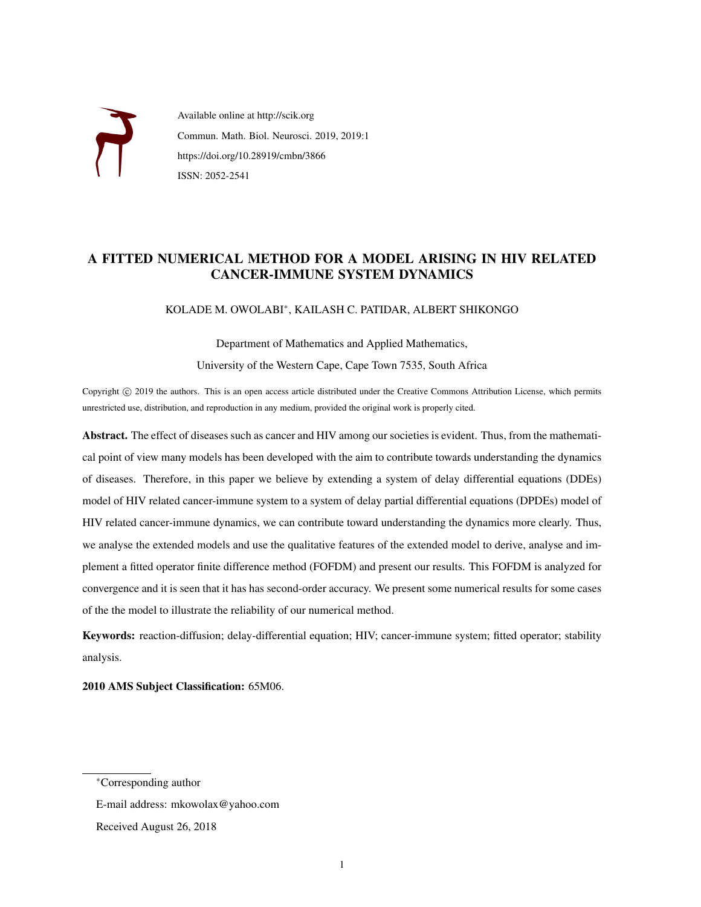

Available online at http://scik.org Commun. Math. Biol. Neurosci. 2019, 2019:1 https://doi.org/10.28919/cmbn/3866 ISSN: 2052-2541

# A FITTED NUMERICAL METHOD FOR A MODEL ARISING IN HIV RELATED CANCER-IMMUNE SYSTEM DYNAMICS

## KOLADE M. OWOLABI<sup>∗</sup> , KAILASH C. PATIDAR, ALBERT SHIKONGO

Department of Mathematics and Applied Mathematics, University of the Western Cape, Cape Town 7535, South Africa

Copyright © 2019 the authors. This is an open access article distributed under the Creative Commons Attribution License, which permits unrestricted use, distribution, and reproduction in any medium, provided the original work is properly cited.

Abstract. The effect of diseases such as cancer and HIV among our societies is evident. Thus, from the mathematical point of view many models has been developed with the aim to contribute towards understanding the dynamics of diseases. Therefore, in this paper we believe by extending a system of delay differential equations (DDEs) model of HIV related cancer-immune system to a system of delay partial differential equations (DPDEs) model of HIV related cancer-immune dynamics, we can contribute toward understanding the dynamics more clearly. Thus, we analyse the extended models and use the qualitative features of the extended model to derive, analyse and implement a fitted operator finite difference method (FOFDM) and present our results. This FOFDM is analyzed for convergence and it is seen that it has has second-order accuracy. We present some numerical results for some cases of the the model to illustrate the reliability of our numerical method.

Keywords: reaction-diffusion; delay-differential equation; HIV; cancer-immune system; fitted operator; stability analysis.

2010 AMS Subject Classification: 65M06.

<sup>∗</sup>Corresponding author

E-mail address: mkowolax@yahoo.com

Received August 26, 2018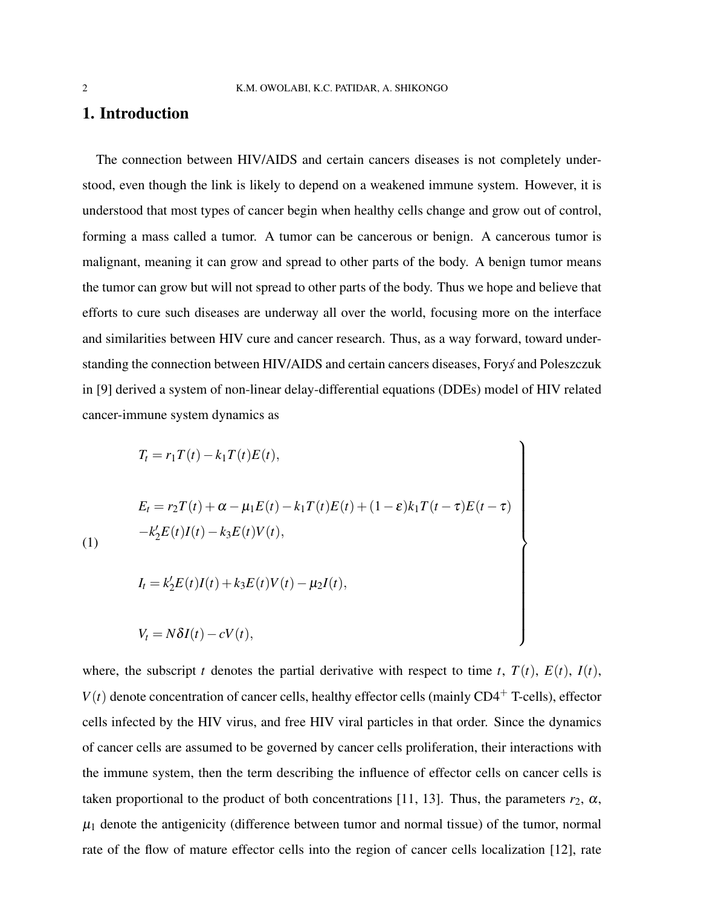# 1. Introduction

The connection between HIV/AIDS and certain cancers diseases is not completely understood, even though the link is likely to depend on a weakened immune system. However, it is understood that most types of cancer begin when healthy cells change and grow out of control, forming a mass called a tumor. A tumor can be cancerous or benign. A cancerous tumor is malignant, meaning it can grow and spread to other parts of the body. A benign tumor means the tumor can grow but will not spread to other parts of the body. Thus we hope and believe that efforts to cure such diseases are underway all over the world, focusing more on the interface and similarities between HIV cure and cancer research. Thus, as a way forward, toward understanding the connection between HIV/AIDS and certain cancers diseases, Forys and Poleszczuk in [9] derived a system of non-linear delay-differential equations (DDEs) model of HIV related cancer-immune system dynamics as

$$
T_{t} = r_{1}T(t) - k_{1}T(t)E(t),
$$
  
\n
$$
E_{t} = r_{2}T(t) + \alpha - \mu_{1}E(t) - k_{1}T(t)E(t) + (1 - \varepsilon)k_{1}T(t - \tau)E(t - \tau)
$$
  
\n
$$
-k_{2}'E(t)I(t) - k_{3}E(t)V(t),
$$
  
\n
$$
I_{t} = k_{2}'E(t)I(t) + k_{3}E(t)V(t) - \mu_{2}I(t),
$$
  
\n
$$
V_{t} = N\delta I(t) - cV(t),
$$

where, the subscript *t* denotes the partial derivative with respect to time *t*,  $T(t)$ ,  $E(t)$ ,  $I(t)$ ,  $V(t)$  denote concentration of cancer cells, healthy effector cells (mainly CD4<sup>+</sup> T-cells), effector cells infected by the HIV virus, and free HIV viral particles in that order. Since the dynamics of cancer cells are assumed to be governed by cancer cells proliferation, their interactions with the immune system, then the term describing the influence of effector cells on cancer cells is taken proportional to the product of both concentrations [11, 13]. Thus, the parameters  $r_2$ ,  $\alpha$ ,  $\mu_1$  denote the antigenicity (difference between tumor and normal tissue) of the tumor, normal rate of the flow of mature effector cells into the region of cancer cells localization [12], rate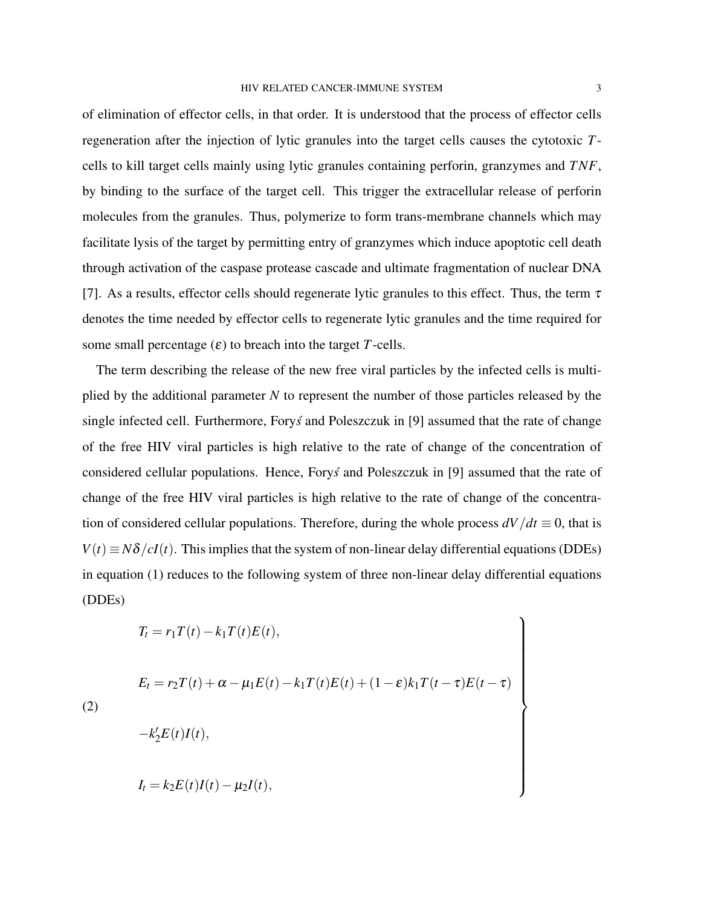of elimination of effector cells, in that order. It is understood that the process of effector cells regeneration after the injection of lytic granules into the target cells causes the cytotoxic *T*cells to kill target cells mainly using lytic granules containing perforin, granzymes and *TNF*, by binding to the surface of the target cell. This trigger the extracellular release of perforin molecules from the granules. Thus, polymerize to form trans-membrane channels which may facilitate lysis of the target by permitting entry of granzymes which induce apoptotic cell death through activation of the caspase protease cascade and ultimate fragmentation of nuclear DNA [7]. As a results, effector cells should regenerate lytic granules to this effect. Thus, the term  $\tau$ denotes the time needed by effector cells to regenerate lytic granules and the time required for some small percentage  $(\varepsilon)$  to breach into the target *T*-cells.

The term describing the release of the new free viral particles by the infected cells is multiplied by the additional parameter *N* to represent the number of those particles released by the single infected cell. Furthermore, Forys and Poleszczuk in [9] assumed that the rate of change of the free HIV viral particles is high relative to the rate of change of the concentration of considered cellular populations. Hence, Forys and Poleszczuk in [9] assumed that the rate of change of the free HIV viral particles is high relative to the rate of change of the concentration of considered cellular populations. Therefore, during the whole process  $dV/dt \equiv 0$ , that is  $V(t) \equiv N\delta/cI(t)$ . This implies that the system of non-linear delay differential equations (DDEs) in equation (1) reduces to the following system of three non-linear delay differential equations (DDEs)

$$
T_t = r_1 T(t) - k_1 T(t) E(t),
$$

 $\overline{(}$ 

$$
E_t = r_2 T(t) + \alpha - \mu_1 E(t) - k_1 T(t) E(t) + (1 - \varepsilon) k_1 T(t - \tau) E(t - \tau)
$$
  
\n
$$
-k_2' E(t) I(t),
$$
  
\n
$$
I_t = k_2 E(t) I(t) - \mu_2 I(t),
$$

 $\mathcal{L}$ 

 $\begin{array}{c} \hline \end{array}$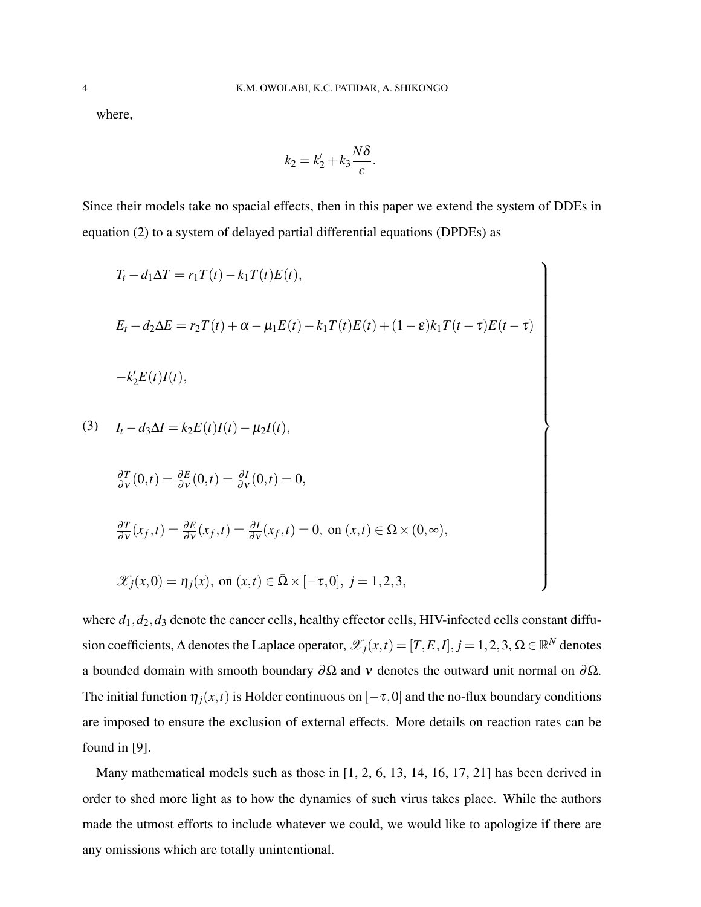where,

$$
k_2 = k'_2 + k_3 \frac{N\delta}{c}.
$$

Since their models take no spacial effects, then in this paper we extend the system of DDEs in equation (2) to a system of delayed partial differential equations (DPDEs) as

$$
T_t - d_1 \Delta T = r_1 T(t) - k_1 T(t) E(t),
$$
  
\n
$$
E_t - d_2 \Delta E = r_2 T(t) + \alpha - \mu_1 E(t) - k_1 T(t) E(t) + (1 - \varepsilon) k_1 T(t - \tau) E(t - \tau)
$$
  
\n
$$
-k_2 E(t) I(t),
$$
  
\n
$$
I_t - d_3 \Delta I = k_2 E(t) I(t) - \mu_2 I(t),
$$
  
\n
$$
\frac{\partial T}{\partial v}(0,t) = \frac{\partial E}{\partial v}(0,t) = \frac{\partial I}{\partial v}(0,t) = 0,
$$
  
\n
$$
\frac{\partial T}{\partial v}(x_f,t) = \frac{\partial E}{\partial v}(x_f,t) = \frac{\partial I}{\partial v}(x_f,t) = 0, \text{ on } (x,t) \in \Omega \times (0, \infty),
$$
  
\n
$$
\mathcal{X}_j(x,0) = \eta_j(x), \text{ on } (x,t) \in \overline{\Omega} \times [-\tau, 0], j = 1, 2, 3,
$$

 $\mathscr{X}_j(x,0) = \eta_j(x)$ , on  $(x,t) \in \bar{\Omega} \times [-\tau,0], j = 1,2,3,$ 

where  $d_1$ ,  $d_2$ ,  $d_3$  denote the cancer cells, healthy effector cells, HIV-infected cells constant diffusion coefficients,  $\Delta$  denotes the Laplace operator,  $\mathscr{X}_j(x,t) = [T,E,I], j = 1,2,3, \Omega \in \mathbb{R}^N$  denotes a bounded domain with smooth boundary  $\partial \Omega$  and v denotes the outward unit normal on  $\partial \Omega$ . The initial function  $\eta_i(x,t)$  is Holder continuous on  $[-\tau,0]$  and the no-flux boundary conditions are imposed to ensure the exclusion of external effects. More details on reaction rates can be found in [9].

Many mathematical models such as those in [1, 2, 6, 13, 14, 16, 17, 21] has been derived in order to shed more light as to how the dynamics of such virus takes place. While the authors made the utmost efforts to include whatever we could, we would like to apologize if there are any omissions which are totally unintentional.

(3)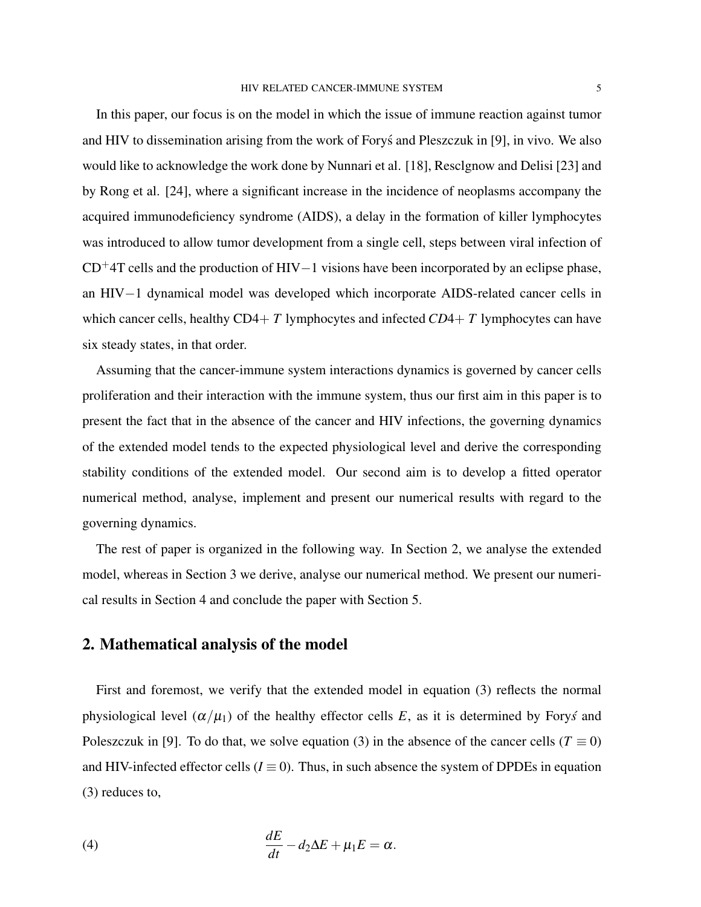In this paper, our focus is on the model in which the issue of immune reaction against tumor and HIV to dissemination arising from the work of Forys and Pleszczuk in [9], in vivo. We also ´ would like to acknowledge the work done by Nunnari et al. [18], Resclgnow and Delisi [23] and by Rong et al. [24], where a significant increase in the incidence of neoplasms accompany the acquired immunodeficiency syndrome (AIDS), a delay in the formation of killer lymphocytes was introduced to allow tumor development from a single cell, steps between viral infection of  $CD+4T$  cells and the production of HIV−1 visions have been incorporated by an eclipse phase, an HIV−1 dynamical model was developed which incorporate AIDS-related cancer cells in which cancer cells, healthy CD4+ *T* lymphocytes and infected *CD*4+ *T* lymphocytes can have six steady states, in that order.

Assuming that the cancer-immune system interactions dynamics is governed by cancer cells proliferation and their interaction with the immune system, thus our first aim in this paper is to present the fact that in the absence of the cancer and HIV infections, the governing dynamics of the extended model tends to the expected physiological level and derive the corresponding stability conditions of the extended model. Our second aim is to develop a fitted operator numerical method, analyse, implement and present our numerical results with regard to the governing dynamics.

The rest of paper is organized in the following way. In Section 2, we analyse the extended model, whereas in Section 3 we derive, analyse our numerical method. We present our numerical results in Section 4 and conclude the paper with Section 5.

# 2. Mathematical analysis of the model

First and foremost, we verify that the extended model in equation (3) reflects the normal physiological level  $(\alpha/\mu_1)$  of the healthy effector cells *E*, as it is determined by Fory's and Poleszczuk in [9]. To do that, we solve equation (3) in the absence of the cancer cells ( $T \equiv 0$ ) and HIV-infected effector cells ( $I \equiv 0$ ). Thus, in such absence the system of DPDEs in equation (3) reduces to,

(4) 
$$
\frac{dE}{dt} - d_2\Delta E + \mu_1 E = \alpha.
$$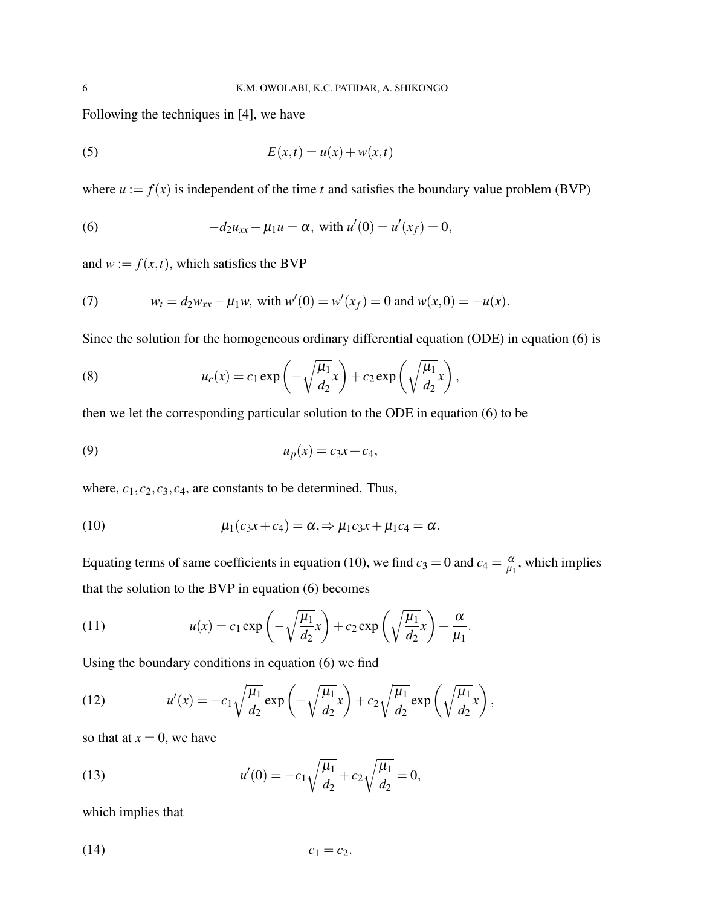Following the techniques in [4], we have

$$
(5) \t\t\t E(x,t) = u(x) + w(x,t)
$$

where  $u := f(x)$  is independent of the time *t* and satisfies the boundary value problem (BVP)

(6) 
$$
-d_2u_{xx} + \mu_1 u = \alpha, \text{ with } u'(0) = u'(x_f) = 0,
$$

and  $w := f(x, t)$ , which satisfies the BVP

(7) 
$$
w_t = d_2 w_{xx} - \mu_1 w
$$
, with  $w'(0) = w'(x_f) = 0$  and  $w(x, 0) = -u(x)$ .

Since the solution for the homogeneous ordinary differential equation (ODE) in equation (6) is

(8) 
$$
u_c(x) = c_1 \exp\left(-\sqrt{\frac{\mu_1}{d_2}}x\right) + c_2 \exp\left(\sqrt{\frac{\mu_1}{d_2}}x\right),
$$

then we let the corresponding particular solution to the ODE in equation (6) to be

$$
(9) \t\t\t u_p(x) = c_3x + c_4,
$$

where,  $c_1$ ,  $c_2$ ,  $c_3$ ,  $c_4$ , are constants to be determined. Thus,

(10) 
$$
\mu_1(c_3x+c_4)=\alpha \Rightarrow \mu_1c_3x+\mu_1c_4=\alpha.
$$

Equating terms of same coefficients in equation (10), we find  $c_3 = 0$  and  $c_4 = \frac{\alpha}{\mu_0}$  $\frac{\alpha}{\mu_1}$ , which implies that the solution to the BVP in equation (6) becomes

(11) 
$$
u(x) = c_1 \exp\left(-\sqrt{\frac{\mu_1}{d_2}}x\right) + c_2 \exp\left(\sqrt{\frac{\mu_1}{d_2}}x\right) + \frac{\alpha}{\mu_1}.
$$

Using the boundary conditions in equation (6) we find

(12) 
$$
u'(x) = -c_1 \sqrt{\frac{\mu_1}{d_2}} \exp\left(-\sqrt{\frac{\mu_1}{d_2}}x\right) + c_2 \sqrt{\frac{\mu_1}{d_2}} \exp\left(\sqrt{\frac{\mu_1}{d_2}}x\right),
$$

so that at  $x = 0$ , we have

(13) 
$$
u'(0) = -c_1 \sqrt{\frac{\mu_1}{d_2}} + c_2 \sqrt{\frac{\mu_1}{d_2}} = 0,
$$

which implies that

$$
c_1 = c_2.
$$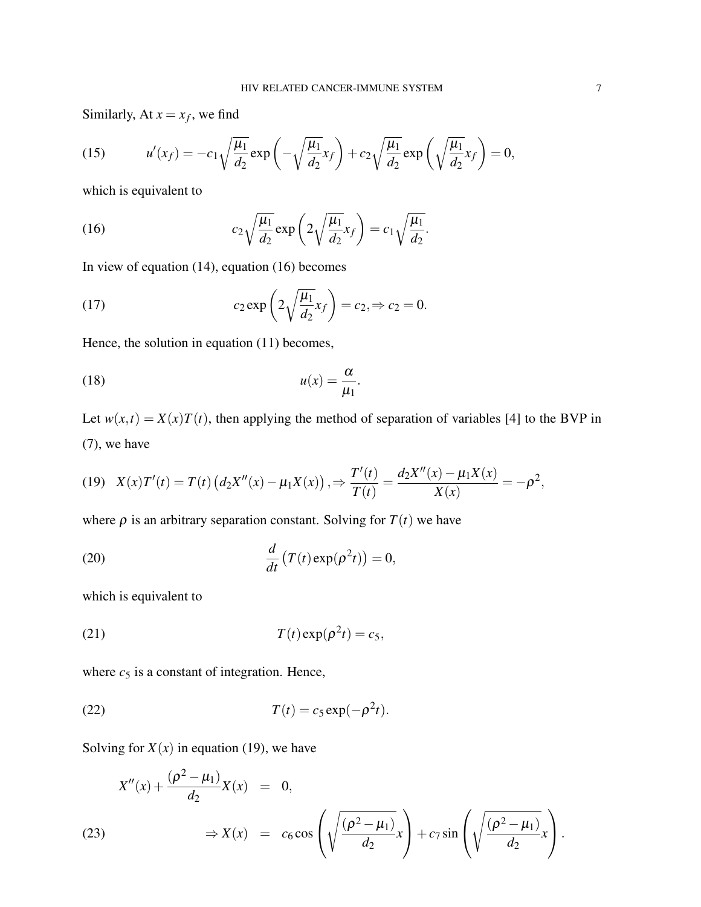Similarly, At  $x = x_f$ , we find

(15) 
$$
u'(x_f) = -c_1 \sqrt{\frac{\mu_1}{d_2}} \exp\left(-\sqrt{\frac{\mu_1}{d_2}} x_f\right) + c_2 \sqrt{\frac{\mu_1}{d_2}} \exp\left(\sqrt{\frac{\mu_1}{d_2}} x_f\right) = 0,
$$

which is equivalent to

(16) 
$$
c_2 \sqrt{\frac{\mu_1}{d_2}} \exp\left(2\sqrt{\frac{\mu_1}{d_2}} x_f\right) = c_1 \sqrt{\frac{\mu_1}{d_2}}.
$$

In view of equation (14), equation (16) becomes

(17) 
$$
c_2 \exp\left(2\sqrt{\frac{\mu_1}{d_2}}x_f\right) = c_2 \Rightarrow c_2 = 0.
$$

Hence, the solution in equation (11) becomes,

$$
(18) \t u(x) = \frac{\alpha}{\mu_1}.
$$

Let  $w(x,t) = X(x)T(t)$ , then applying the method of separation of variables [4] to the BVP in (7), we have

$$
(19) \quad X(x)T'(t) = T(t)\left(d_2X''(x) - \mu_1X(x)\right), \Rightarrow \frac{T'(t)}{T(t)} = \frac{d_2X''(x) - \mu_1X(x)}{X(x)} = -\rho^2,
$$

where  $\rho$  is an arbitrary separation constant. Solving for  $T(t)$  we have

(20) 
$$
\frac{d}{dt}\left(T(t)\exp(\rho^2 t)\right) = 0,
$$

which is equivalent to

(21) 
$$
T(t) \exp(\rho^2 t) = c_5,
$$

where  $c_5$  is a constant of integration. Hence,

$$
(22) \t\t T(t) = c_5 \exp(-\rho^2 t).
$$

Solving for  $X(x)$  in equation (19), we have

$$
X''(x) + \frac{(\rho^2 - \mu_1)}{d_2} X(x) = 0,
$$
  
(23) 
$$
\Rightarrow X(x) = c_6 \cos\left(\sqrt{\frac{(\rho^2 - \mu_1)}{d_2}}x\right) + c_7 \sin\left(\sqrt{\frac{(\rho^2 - \mu_1)}{d_2}}x\right).
$$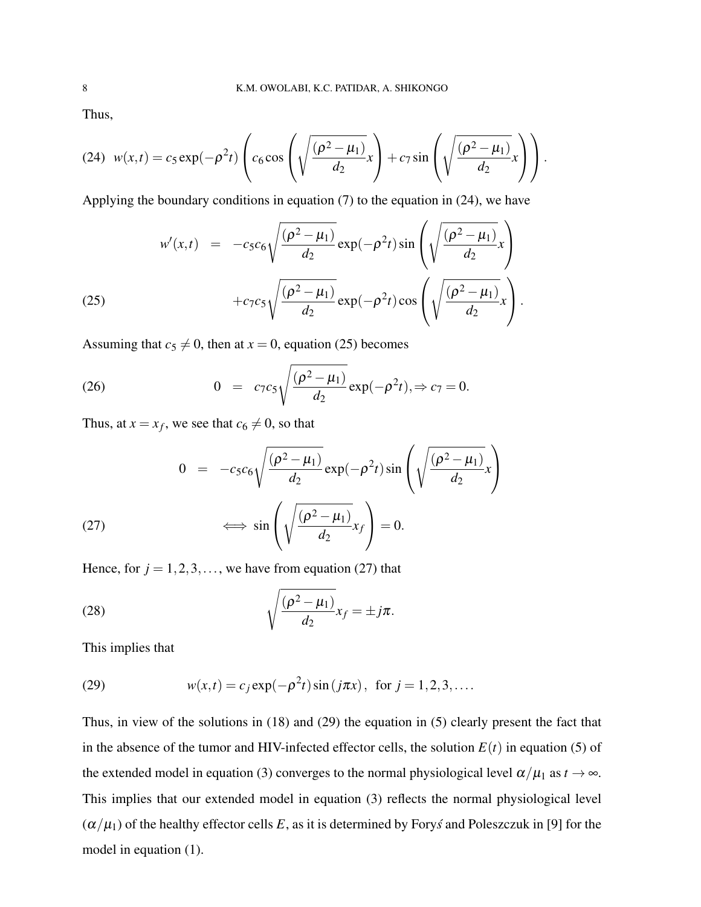Thus,

$$
(24) \ w(x,t) = c_5 \exp(-\rho^2 t) \left( c_6 \cos\left(\sqrt{\frac{(\rho^2 - \mu_1)}{d_2}} x\right) + c_7 \sin\left(\sqrt{\frac{(\rho^2 - \mu_1)}{d_2}} x\right) \right).
$$

Applying the boundary conditions in equation (7) to the equation in (24), we have

(25) 
$$
w'(x,t) = -c_5 c_6 \sqrt{\frac{(\rho^2 - \mu_1)}{d_2}} \exp(-\rho^2 t) \sin\left(\sqrt{\frac{(\rho^2 - \mu_1)}{d_2}} x\right) + c_7 c_5 \sqrt{\frac{(\rho^2 - \mu_1)}{d_2}} \exp(-\rho^2 t) \cos\left(\sqrt{\frac{(\rho^2 - \mu_1)}{d_2}} x\right).
$$

Assuming that  $c_5 \neq 0$ , then at  $x = 0$ , equation (25) becomes

(26) 
$$
0 = c_7 c_5 \sqrt{\frac{(\rho^2 - \mu_1)}{d_2}} \exp(-\rho^2 t), \Rightarrow c_7 = 0.
$$

Thus, at  $x = x_f$ , we see that  $c_6 \neq 0$ , so that

(27) 
$$
0 = -c_5 c_6 \sqrt{\frac{(\rho^2 - \mu_1)}{d_2}} \exp(-\rho^2 t) \sin\left(\sqrt{\frac{(\rho^2 - \mu_1)}{d_2}} x\right)
$$

$$
\iff \sin\left(\sqrt{\frac{(\rho^2 - \mu_1)}{d_2}} x_f\right) = 0.
$$

Hence, for  $j = 1, 2, 3, \dots$ , we have from equation (27) that

(28) 
$$
\sqrt{\frac{(\rho^2-\mu_1)}{d_2}}x_f=\pm j\pi.
$$

This implies that

(29) 
$$
w(x,t) = c_j \exp(-\rho^2 t) \sin(j\pi x), \text{ for } j = 1, 2, 3, ...
$$

Thus, in view of the solutions in (18) and (29) the equation in (5) clearly present the fact that in the absence of the tumor and HIV-infected effector cells, the solution  $E(t)$  in equation (5) of the extended model in equation (3) converges to the normal physiological level  $\alpha/\mu_1$  as  $t \to \infty$ . This implies that our extended model in equation (3) reflects the normal physiological level  $(\alpha/\mu_1)$  of the healthy effector cells *E*, as it is determined by Fory *s* and Poleszczuk in [9] for the model in equation (1).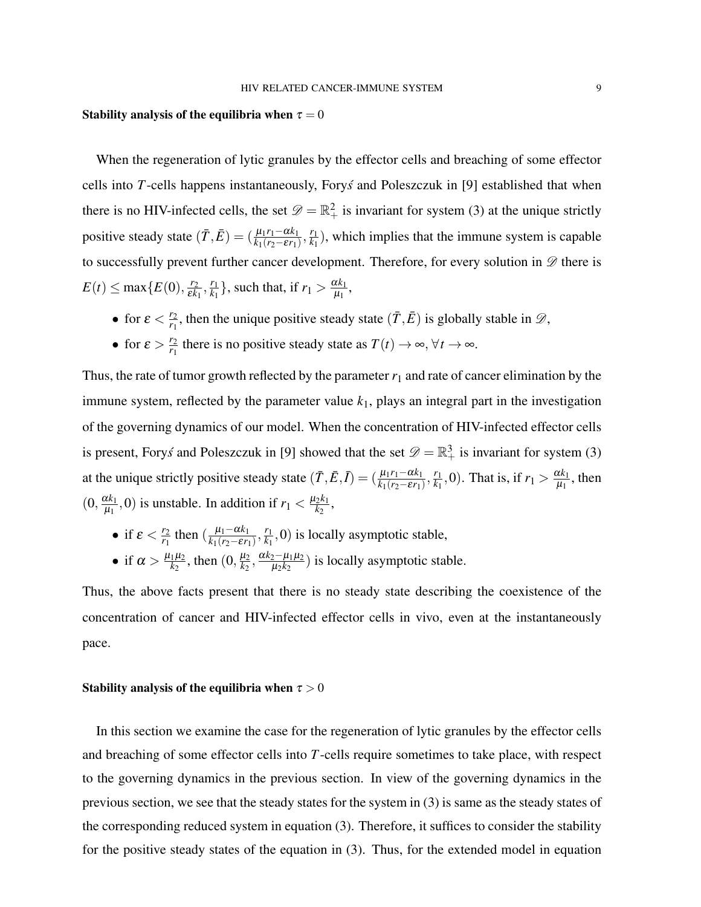#### Stability analysis of the equilibria when  $\tau = 0$

When the regeneration of lytic granules by the effector cells and breaching of some effector cells into *T*-cells happens instantaneously, Forys and Poleszczuk in [9] established that when there is no HIV-infected cells, the set  $\mathscr{D} = \mathbb{R}^2_+$  is invariant for system (3) at the unique strictly positive steady state  $(\bar{T}, \bar{E}) = (\frac{\mu_1 r_1 - \alpha k_1}{k_1 (r_2 - \varepsilon r_1)}, \frac{r_1}{k_1})$  $\frac{r_1}{k_1}$ ), which implies that the immune system is capable to successfully prevent further cancer development. Therefore, for every solution in  $\mathscr{D}$  there is  $E(t) \leq \max\{E(0), \frac{r_2}{\varepsilon k}\}$  $\frac{r_2}{\varepsilon k_1}, \frac{r_1}{k_1}$  $\frac{r_1}{k_1}$ , such that, if  $r_1 > \frac{\alpha k_1}{\mu_1}$  $\frac{\iota\kappa_1}{\mu_1},$ 

- for  $\varepsilon < \frac{r_2}{r_1}$  $\frac{r_2}{r_1}$ , then the unique positive steady state  $(\bar{T}, \bar{E})$  is globally stable in  $\mathscr{D}$ ,
- for  $\varepsilon > \frac{r_2}{r_1}$  $\frac{r_2}{r_1}$  there is no positive steady state as  $T(t) \to \infty$ ,  $\forall t \to \infty$ .

Thus, the rate of tumor growth reflected by the parameter  $r_1$  and rate of cancer elimination by the immune system, reflected by the parameter value  $k_1$ , plays an integral part in the investigation of the governing dynamics of our model. When the concentration of HIV-infected effector cells is present, Fory*s* and Poleszczuk in [9] showed that the set  $\mathscr{D} = \mathbb{R}^3_+$  is invariant for system (3) at the unique strictly positive steady state  $(\bar{T}, \bar{E}, \bar{I}) = (\frac{\mu_1 r_1 - \alpha k_1}{k_1 (r_2 - \varepsilon r_1)}, \frac{r_1}{k_1})$  $\frac{r_1}{k_1}$ , 0). That is, if  $r_1 > \frac{\alpha k_1}{\mu_1}$  $\frac{\chi_{K_1}}{\mu_1}$ , then  $(0, \frac{\alpha k_1}{\mu_1})$  $\frac{dk_1}{\mu_1}$ , 0) is unstable. In addition if  $r_1 < \frac{\mu_2 k_1}{k_2}$  $\frac{2^{\kappa_1}}{k_2},$ 

• if  $\varepsilon < \frac{r_2}{r_1}$  $\frac{r_2}{r_1}$  then ( $\frac{\mu_1 - \alpha k_1}{k_1(r_2 - \varepsilon r_1)}$  $\frac{\mu_1 - \alpha k_1}{k_1(r_2 - \varepsilon r_1)}, \frac{r_1}{k_1}$  $\frac{r_1}{k_1}$ , 0) is locally asymptotic stable, • if  $\alpha > \frac{\mu_1 \mu_2}{k_2}$  $\frac{1}{k_2}$ , then  $(0, \frac{\mu_2}{k_2})$  $\frac{\mu_2}{k_2}$ ,  $\frac{\alpha k_2 - \mu_1 \mu_2}{\mu_2 k_2}$  $\frac{2-\mu_1\mu_2}{\mu_2k_2}$ ) is locally asymptotic stable.

Thus, the above facts present that there is no steady state describing the coexistence of the concentration of cancer and HIV-infected effector cells in vivo, even at the instantaneously pace.

### Stability analysis of the equilibria when  $\tau > 0$

In this section we examine the case for the regeneration of lytic granules by the effector cells and breaching of some effector cells into *T*-cells require sometimes to take place, with respect to the governing dynamics in the previous section. In view of the governing dynamics in the previous section, we see that the steady states for the system in (3) is same as the steady states of the corresponding reduced system in equation (3). Therefore, it suffices to consider the stability for the positive steady states of the equation in (3). Thus, for the extended model in equation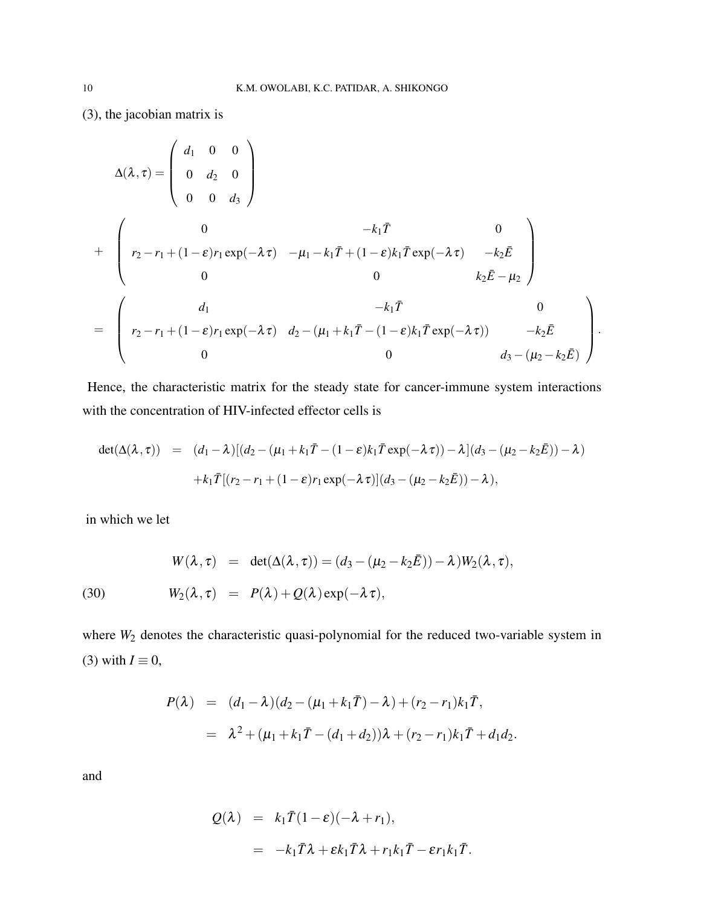(3), the jacobian matrix is

$$
\Delta(\lambda, \tau) = \begin{pmatrix} d_1 & 0 & 0 \\ 0 & d_2 & 0 \\ 0 & 0 & d_3 \end{pmatrix}
$$
  
+ 
$$
\begin{pmatrix} 0 & -k_1 \bar{T} & 0 \\ r_2 - r_1 + (1 - \varepsilon)r_1 \exp(-\lambda \tau) & -\mu_1 - k_1 \bar{T} + (1 - \varepsilon)k_1 \bar{T} \exp(-\lambda \tau) & -k_2 \bar{E} \\ 0 & 0 & k_2 \bar{E} - \mu_2 \end{pmatrix}
$$
  
= 
$$
\begin{pmatrix} d_1 & -k_1 \bar{T} & 0 \\ r_2 - r_1 + (1 - \varepsilon)r_1 \exp(-\lambda \tau) & d_2 - (\mu_1 + k_1 \bar{T} - (1 - \varepsilon)k_1 \bar{T} \exp(-\lambda \tau)) & -k_2 \bar{E} \\ 0 & 0 & d_3 - (\mu_2 - k_2 \bar{E}) \end{pmatrix}
$$

Hence, the characteristic matrix for the steady state for cancer-immune system interactions with the concentration of HIV-infected effector cells is

.

$$
det(\Delta(\lambda, \tau)) = (d_1 - \lambda)[(d_2 - (\mu_1 + k_1 \bar{T} - (1 - \varepsilon)k_1 \bar{T} \exp(-\lambda \tau)) - \lambda](d_3 - (\mu_2 - k_2 \bar{E})) - \lambda) + k_1 \bar{T}[(r_2 - r_1 + (1 - \varepsilon)r_1 \exp(-\lambda \tau)](d_3 - (\mu_2 - k_2 \bar{E})) - \lambda),
$$

in which we let

(30) 
$$
W(\lambda, \tau) = \det(\Delta(\lambda, \tau)) = (d_3 - (\mu_2 - k_2 \bar{E})) - \lambda)W_2(\lambda, \tau),
$$

$$
W_2(\lambda, \tau) = P(\lambda) + Q(\lambda) \exp(-\lambda \tau),
$$

where  $W_2$  denotes the characteristic quasi-polynomial for the reduced two-variable system in (3) with  $I \equiv 0$ ,

$$
P(\lambda) = (d_1 - \lambda)(d_2 - (\mu_1 + k_1 \bar{T}) - \lambda) + (r_2 - r_1)k_1 \bar{T},
$$
  
=  $\lambda^2 + (\mu_1 + k_1 \bar{T} - (d_1 + d_2))\lambda + (r_2 - r_1)k_1 \bar{T} + d_1 d_2.$ 

and

$$
Q(\lambda) = k_1 \overline{T} (1 - \varepsilon)(-\lambda + r_1),
$$
  
=  $-k_1 \overline{T} \lambda + \varepsilon k_1 \overline{T} \lambda + r_1 k_1 \overline{T} - \varepsilon r_1 k_1 \overline{T}.$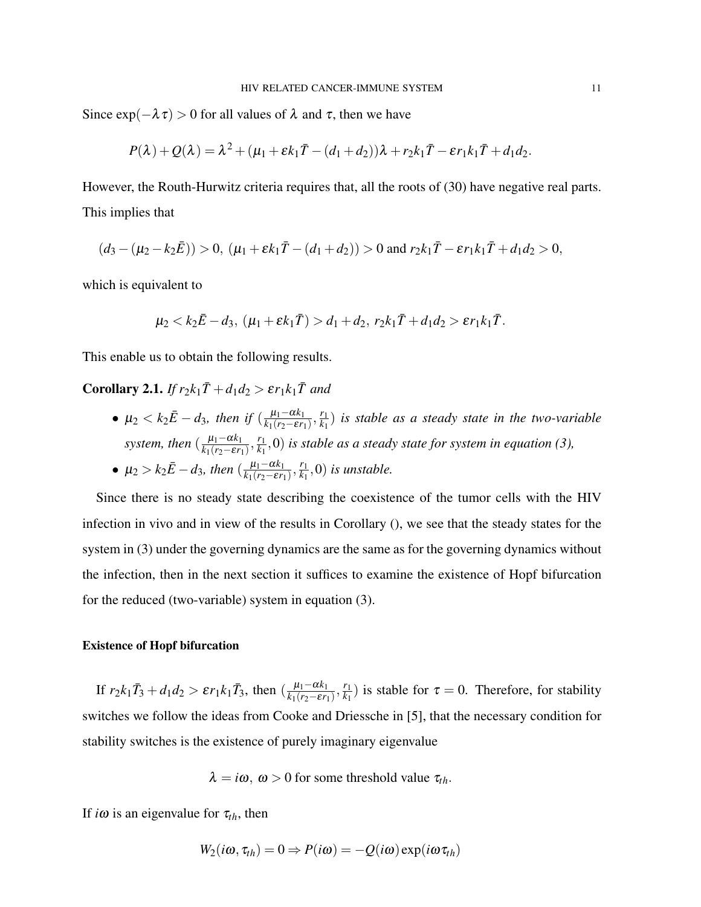Since  $\exp(-\lambda \tau) > 0$  for all values of  $\lambda$  and  $\tau$ , then we have

$$
P(\lambda)+Q(\lambda)=\lambda^2+(\mu_1+\varepsilon k_1\overline{T}-(d_1+d_2))\lambda+r_2k_1\overline{T}-\varepsilon r_1k_1\overline{T}+d_1d_2.
$$

However, the Routh-Hurwitz criteria requires that, all the roots of (30) have negative real parts. This implies that

$$
(d_3 - (\mu_2 - k_2 \bar{E})) > 0
$$
,  $(\mu_1 + \varepsilon k_1 \bar{T} - (d_1 + d_2)) > 0$  and  $r_2 k_1 \bar{T} - \varepsilon r_1 k_1 \bar{T} + d_1 d_2 > 0$ ,

which is equivalent to

$$
\mu_2 < k_2 \bar{E} - d_3, \ (\mu_1 + \varepsilon k_1 \bar{T}) > d_1 + d_2, \ r_2 k_1 \bar{T} + d_1 d_2 > \varepsilon r_1 k_1 \bar{T}.
$$

This enable us to obtain the following results.

Corollary 2.1. *If*  $r_2k_1\overline{T}$  +  $d_1d_2 > \varepsilon r_1k_1\overline{T}$  and

•  $\mu_2 < k_2 \bar{E} - d_3$ , then if  $(\frac{\mu_1 - \alpha k_1}{k_1 (r_2 - \varepsilon r_1)}$  $\frac{\mu_1 - \alpha k_1}{k_1(r_2 - \varepsilon r_1)}, \frac{r_1}{k_1}$  $\frac{r_1}{k_1}$ ) *is stable as a steady state in the two-variable system, then*  $\left(\frac{\mu_1 - \alpha k_1}{k_1 (r_2 - \varepsilon r_1)}\right)$  $\frac{\mu_1 - \alpha k_1}{k_1(r_2 - \varepsilon r_1)}, \frac{r_1}{k_1}$  $\frac{r_1}{k_1}$ ,0) *is stable as a steady state for system in equation (3)*,

• 
$$
\mu_2 > k_2 \bar{E} - d_3
$$
, then  $\left(\frac{\mu_1 - \alpha k_1}{k_1 (r_2 - \varepsilon r_1)}, \frac{r_1}{k_1}, 0\right)$  is unstable.

Since there is no steady state describing the coexistence of the tumor cells with the HIV infection in vivo and in view of the results in Corollary (), we see that the steady states for the system in (3) under the governing dynamics are the same as for the governing dynamics without the infection, then in the next section it suffices to examine the existence of Hopf bifurcation for the reduced (two-variable) system in equation (3).

### Existence of Hopf bifurcation

If  $r_2 k_1 \bar{T}_3 + d_1 d_2 > \varepsilon r_1 k_1 \bar{T}_3$ , then  $\left(\frac{\mu_1 - \alpha k_1}{k_1 (r_2 - \varepsilon r_1)}\right)$  $\frac{\mu_1 - \alpha k_1}{k_1(r_2 - \varepsilon r_1)}, \frac{r_1}{k_1}$  $\frac{r_1}{k_1}$ ) is stable for  $\tau = 0$ . Therefore, for stability switches we follow the ideas from Cooke and Driessche in [5], that the necessary condition for stability switches is the existence of purely imaginary eigenvalue

$$
\lambda = i\omega, \omega > 0
$$
 for some threshold value  $\tau_{th}$ .

If  $i\omega$  is an eigenvalue for  $\tau_{th}$ , then

$$
W_2(i\omega, \tau_{th}) = 0 \Rightarrow P(i\omega) = -Q(i\omega) \exp(i\omega \tau_{th})
$$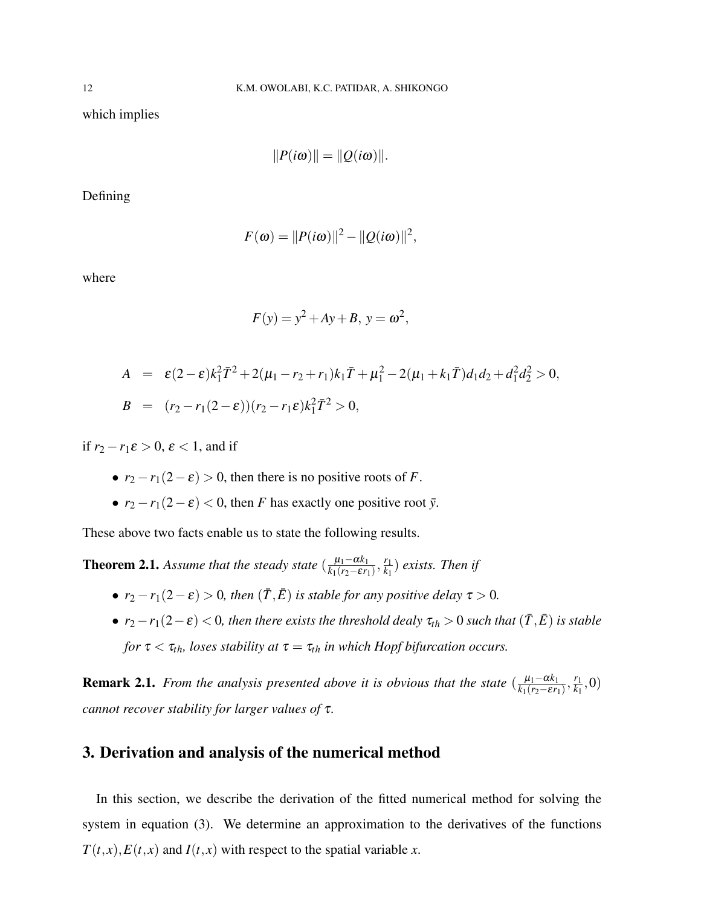which implies

$$
||P(i\omega)|| = ||Q(i\omega)||.
$$

Defining

$$
F(\omega) = ||P(i\omega)||^2 - ||Q(i\omega)||^2,
$$

where

$$
F(y) = y^2 + Ay + B, y = \omega^2,
$$

$$
A = \varepsilon (2 - \varepsilon) k_1^2 \bar{T}^2 + 2(\mu_1 - r_2 + r_1) k_1 \bar{T} + \mu_1^2 - 2(\mu_1 + k_1 \bar{T}) d_1 d_2 + d_1^2 d_2^2 > 0,
$$
  
\n
$$
B = (r_2 - r_1 (2 - \varepsilon)) (r_2 - r_1 \varepsilon) k_1^2 \bar{T}^2 > 0,
$$

if  $r_2 - r_1 \varepsilon > 0$ ,  $\varepsilon < 1$ , and if

- $r_2 r_1(2 \varepsilon) > 0$ , then there is no positive roots of *F*.
- $r_2 r_1(2 \varepsilon) < 0$ , then *F* has exactly one positive root  $\bar{y}$ .

These above two facts enable us to state the following results.

**Theorem 2.1.** Assume that the steady state  $\left(\frac{\mu_1 - \alpha k_1}{k_1 + k_2}\right)$  $\frac{\mu_1 - \alpha k_1}{k_1(r_2 - \varepsilon r_1)}, \frac{r_1}{k_1}$  $\frac{r_1}{k_1}$ ) *exists. Then if* 

- $r_2 r_1(2 \varepsilon) > 0$ , then  $(\overline{T}, \overline{E})$  *is stable for any positive delay*  $\tau > 0$ *.*
- $r_2 r_1(2-\varepsilon) < 0$ , then there exists the threshold dealy  $\tau_{th} > 0$  such that  $(\bar{T}, \bar{E})$  is stable *for*  $\tau < \tau_{th}$ *, loses stability at*  $\tau = \tau_{th}$  *in which Hopf bifurcation occurs.*

**Remark 2.1.** *From the analysis presented above it is obvious that the state*  $(\frac{\mu_1 - \alpha k_1}{k_1(r_2 - s r_1)})$  $\frac{\mu_1 - \alpha k_1}{k_1(r_2 - \varepsilon r_1)}, \frac{r_1}{k_1}$  $\frac{r_1}{k_1}, 0)$ *cannot recover stability for larger values of* τ*.*

## 3. Derivation and analysis of the numerical method

In this section, we describe the derivation of the fitted numerical method for solving the system in equation (3). We determine an approximation to the derivatives of the functions  $T(t, x)$ ,  $E(t, x)$  and  $I(t, x)$  with respect to the spatial variable *x*.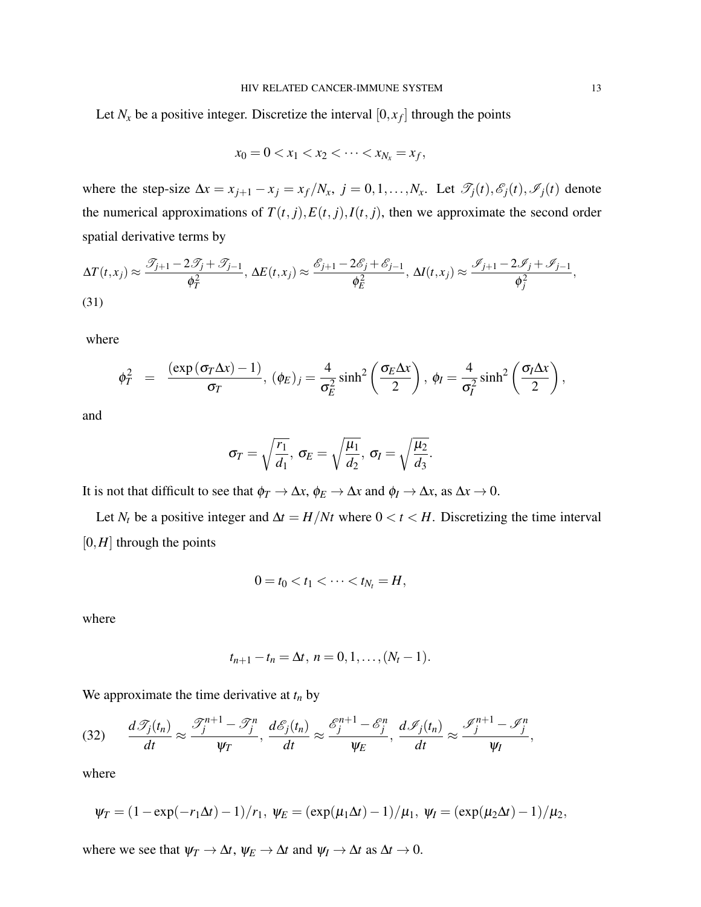Let  $N_x$  be a positive integer. Discretize the interval  $[0, x_f]$  through the points

$$
x_0 = 0 < x_1 < x_2 < \cdots < x_{N_x} = x_f,
$$

where the step-size  $\Delta x = x_{j+1} - x_j = x_f/N_x$ ,  $j = 0, 1, ..., N_x$ . Let  $\mathcal{T}_j(t), \mathcal{E}_j(t), \mathcal{F}_j(t)$  denote the numerical approximations of  $T(t, j)$ ,  $E(t, j)$ ,  $I(t, j)$ , then we approximate the second order spatial derivative terms by

$$
\Delta T(t, x_j) \approx \frac{\mathcal{T}_{j+1} - 2\mathcal{T}_j + \mathcal{T}_{j-1}}{\phi_T^2}, \, \Delta E(t, x_j) \approx \frac{\mathcal{E}_{j+1} - 2\mathcal{E}_j + \mathcal{E}_{j-1}}{\phi_E^2}, \, \Delta I(t, x_j) \approx \frac{\mathcal{I}_{j+1} - 2\mathcal{I}_j + \mathcal{I}_{j-1}}{\phi_j^2},
$$
\n(31)

where

$$
\phi_T^2 = \frac{(\exp(\sigma_T \Delta x) - 1)}{\sigma_T}, (\phi_E)_j = \frac{4}{\sigma_E^2} \sinh^2\left(\frac{\sigma_E \Delta x}{2}\right), \phi_I = \frac{4}{\sigma_I^2} \sinh^2\left(\frac{\sigma_I \Delta x}{2}\right),
$$

and

$$
\sigma_T = \sqrt{\frac{r_1}{d_1}}, \ \sigma_E = \sqrt{\frac{\mu_1}{d_2}}, \ \sigma_I = \sqrt{\frac{\mu_2}{d_3}}.
$$

It is not that difficult to see that  $\phi_T \to \Delta x$ ,  $\phi_E \to \Delta x$  and  $\phi_I \to \Delta x$ , as  $\Delta x \to 0$ .

Let  $N_t$  be a positive integer and  $\Delta t = H/Nt$  where  $0 < t < H$ . Discretizing the time interval  $[0,H]$  through the points

$$
0=t_0
$$

where

$$
t_{n+1}-t_n=\Delta t, n=0,1,\ldots,(N_t-1).
$$

We approximate the time derivative at  $t_n$  by

$$
(32) \qquad \frac{d\mathcal{I}_j(t_n)}{dt} \approx \frac{\mathcal{I}_j^{n+1} - \mathcal{I}_j^n}{\psi_T}, \ \frac{d\mathcal{E}_j(t_n)}{dt} \approx \frac{\mathcal{E}_j^{n+1} - \mathcal{E}_j^n}{\psi_E}, \ \frac{d\mathcal{I}_j(t_n)}{dt} \approx \frac{\mathcal{I}_j^{n+1} - \mathcal{I}_j^n}{\psi_I},
$$

where

$$
\psi_T = (1 - \exp(-r_1\Delta t) - 1)/r_1
$$
,  $\psi_E = (\exp(\mu_1\Delta t) - 1)/\mu_1$ ,  $\psi_I = (\exp(\mu_2\Delta t) - 1)/\mu_2$ ,

where we see that  $\psi_T \to \Delta t$ ,  $\psi_E \to \Delta t$  and  $\psi_I \to \Delta t$  as  $\Delta t \to 0$ .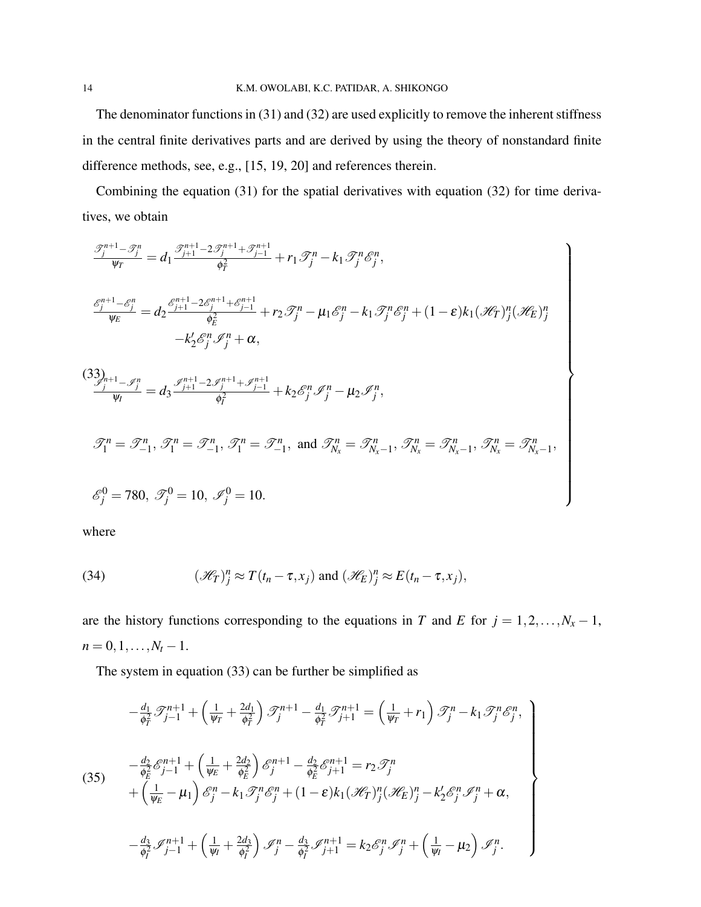The denominator functions in (31) and (32) are used explicitly to remove the inherent stiffness in the central finite derivatives parts and are derived by using the theory of nonstandard finite difference methods, see, e.g., [15, 19, 20] and references therein.

Combining the equation (31) for the spatial derivatives with equation (32) for time derivatives, we obtain

$$
\frac{\mathcal{I}_{j}^{n+1}-\mathcal{I}_{j}^{n}}{\psi_{T}} = d_{1} \frac{\mathcal{I}_{j+1}^{n+1}-2\mathcal{I}_{j}^{n+1}+\mathcal{I}_{j-1}^{n+1}}{\phi_{T}^{2}} + r_{1} \mathcal{I}_{j}^{n} - k_{1} \mathcal{I}_{j}^{n} \mathcal{E}_{j}^{n},
$$
\n
$$
\frac{\mathcal{E}_{j}^{n+1}-\mathcal{E}_{j}^{n}}{\psi_{E}} = d_{2} \frac{\mathcal{E}_{j+1}^{n+1}-2\mathcal{E}_{j}^{n+1}+\mathcal{E}_{j-1}^{n+1}}{\phi_{E}^{2}} + r_{2} \mathcal{I}_{j}^{n} - \mu_{1} \mathcal{E}_{j}^{n} - k_{1} \mathcal{I}_{j}^{n} \mathcal{E}_{j}^{n} + (1-\varepsilon) k_{1} (\mathcal{H}_{T})_{j}^{n} (\mathcal{H}_{E})_{j}^{n}
$$
\n
$$
-k_{2}' \mathcal{E}_{j}^{n} \mathcal{I}_{j}^{n} + \alpha,
$$
\n
$$
\frac{(33)_{n+1}}{\psi_{I}} - \mathcal{I}_{j}^{n} = d_{3} \frac{\mathcal{I}_{j+1}^{n+1}-2\mathcal{I}_{j}^{n+1}+\mathcal{I}_{j-1}^{n+1}}{\phi_{I}^{2}} + k_{2} \mathcal{E}_{j}^{n} \mathcal{I}_{j}^{n} - \mu_{2} \mathcal{I}_{j}^{n},
$$
\n
$$
\mathcal{I}_{1}^{n} = \mathcal{I}_{-1}^{n}, \mathcal{I}_{1}^{n} = \mathcal{I}_{-1}^{n}, \mathcal{I}_{1}^{n} = \mathcal{I}_{-1}^{n}, \text{ and } \mathcal{I}_{N_{x}}^{n} = \mathcal{I}_{N_{x}-1}^{n}, \mathcal{I}_{N_{x}}^{n} = \mathcal{I}_{N_{x}-1}^{n}, \mathcal{I}_{N_{x}}^{n} = \mathcal{I}_{N_{x}-1}^{n},
$$
\n
$$
\mathcal{E}_{j}^{0} = 780, \mathcal{I}_{j}^{0} = 10, \mathcal{I}_{j}^{0} = 10.
$$

where

(34) 
$$
(\mathcal{H}_T)^n_j \approx T(t_n - \tau, x_j) \text{ and } (\mathcal{H}_E)^n_j \approx E(t_n - \tau, x_j),
$$

are the history functions corresponding to the equations in *T* and *E* for  $j = 1, 2, ..., N<sub>x</sub> - 1$ ,  $n = 0, 1, \ldots, N_t - 1.$ 

The system in equation (33) can be further be simplified as

$$
-\frac{d_1}{\phi_f^2} \mathcal{F}_{j-1}^{n+1} + \left(\frac{1}{\psi_f} + \frac{2d_1}{\phi_f^2}\right) \mathcal{F}_{j}^{n+1} - \frac{d_1}{\phi_f^2} \mathcal{F}_{j+1}^{n+1} = \left(\frac{1}{\psi_f} + r_1\right) \mathcal{F}_{j}^{n} - k_1 \mathcal{F}_{j}^{n} \mathcal{E}_{j}^{n},
$$
\n
$$
-\frac{d_2}{\phi_E^2} \mathcal{E}_{j-1}^{n+1} + \left(\frac{1}{\psi_E} + \frac{2d_2}{\phi_E^2}\right) \mathcal{E}_{j}^{n+1} - \frac{d_2}{\phi_E^2} \mathcal{E}_{j+1}^{n+1} = r_2 \mathcal{F}_{j}^{n}
$$
\n
$$
+\left(\frac{1}{\psi_E} - \mu_1\right) \mathcal{E}_{j}^{n} - k_1 \mathcal{F}_{j}^{n} \mathcal{E}_{j}^{n} + (1 - \varepsilon) k_1 (\mathcal{H}_{T})_{j}^{n} (\mathcal{H}_{E})_{j}^{n} - k_2' \mathcal{E}_{j}^{n} \mathcal{F}_{j}^{n} + \alpha,
$$
\n
$$
-\frac{d_3}{\phi_f^2} \mathcal{F}_{j-1}^{n+1} + \left(\frac{1}{\psi_f} + \frac{2d_3}{\phi_f^2}\right) \mathcal{F}_{j}^{n} - \frac{d_3}{\phi_f^2} \mathcal{F}_{j+1}^{n+1} = k_2 \mathcal{E}_{j}^{n} \mathcal{F}_{j}^{n} + \left(\frac{1}{\psi_f} - \mu_2\right) \mathcal{F}_{j}^{n}.
$$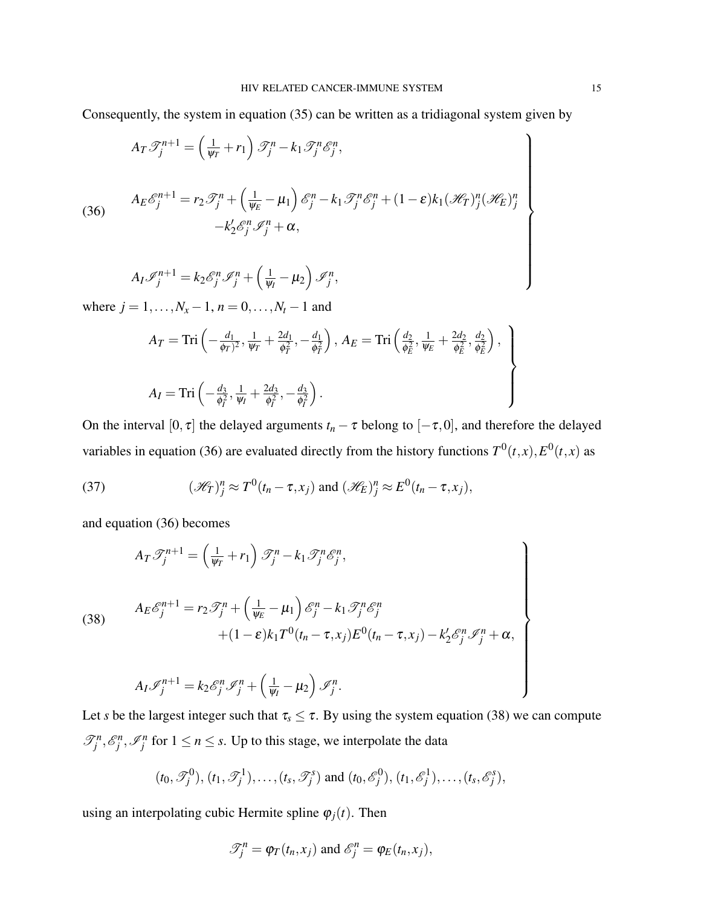Consequently, the system in equation (35) can be written as a tridiagonal system given by

(36)  
\n
$$
A_T \mathcal{I}_j^{n+1} = \left(\frac{1}{\psi_T} + r_1\right) \mathcal{I}_j^n - k_1 \mathcal{I}_j^n \mathcal{E}_j^n,
$$
\n
$$
A_E \mathcal{E}_j^{n+1} = r_2 \mathcal{I}_j^n + \left(\frac{1}{\psi_E} - \mu_1\right) \mathcal{E}_j^n - k_1 \mathcal{I}_j^n \mathcal{E}_j^n + (1 - \varepsilon) k_1 (\mathcal{H}_T)_j^n (\mathcal{H}_E)_j^n
$$
\n
$$
-k_2' \mathcal{E}_j^n \mathcal{I}_j^n + \alpha,
$$
\n
$$
A_I \mathcal{I}_j^{n+1} = k_2 \mathcal{E}_j^n \mathcal{I}_j^n + \left(\frac{1}{\psi_I} - \mu_2\right) \mathcal{I}_j^n,
$$

$$
A_I \mathscr{I}_j^{n+1} = k_2 \mathscr{E}_j^n \mathscr{I}_j^n + \left(\frac{1}{\psi_I} - \mu_2\right) \mathscr{I}_j^n,
$$

where  $j = 1, ..., N<sub>x</sub> - 1, n = 0, ..., N<sub>t</sub> - 1$  and

$$
A_T = \text{Tri}\left(-\frac{d_1}{\phi_T)^2}, \frac{1}{\psi_T} + \frac{2d_1}{\phi_T^2}, -\frac{d_1}{\phi_T^2}\right), A_E = \text{Tri}\left(\frac{d_2}{\phi_E^2}, \frac{1}{\psi_E} + \frac{2d_2}{\phi_E^2}, \frac{d_2}{\phi_E^2}\right),
$$
  

$$
A_I = \text{Tri}\left(-\frac{d_3}{\phi_I^2}, \frac{1}{\psi_I} + \frac{2d_3}{\phi_I^2}, -\frac{d_3}{\phi_I^2}\right).
$$

On the interval [0,  $\tau$ ] the delayed arguments  $t_n - \tau$  belong to  $[-\tau, 0]$ , and therefore the delayed variables in equation (36) are evaluated directly from the history functions  $T^0(t,x)$ ,  $E^0(t,x)$  as

(37) 
$$
(\mathcal{H}_T)^n_j \approx T^0(t_n - \tau, x_j) \text{ and } (\mathcal{H}_E)^n_j \approx E^0(t_n - \tau, x_j),
$$

and equation (36) becomes

(38)  
\n
$$
A_T \mathcal{F}_j^{n+1} = \left(\frac{1}{\psi_T} + r_1\right) \mathcal{F}_j^n - k_1 \mathcal{F}_j^n \mathcal{E}_j^n,
$$
\n
$$
A_E \mathcal{E}_j^{n+1} = r_2 \mathcal{F}_j^n + \left(\frac{1}{\psi_E} - \mu_1\right) \mathcal{E}_j^n - k_1 \mathcal{F}_j^n \mathcal{E}_j^n
$$
\n
$$
+ (1 - \varepsilon) k_1 T^0 (t_n - \tau, x_j) E^0 (t_n - \tau, x_j) - k_2' \mathcal{E}_j^n \mathcal{F}_j^n + \alpha,
$$
\n
$$
A_I \mathcal{F}_j^{n+1} = k_2 \mathcal{E}_j^n \mathcal{F}_j^n + \left(\frac{1}{\psi_I} - \mu_2\right) \mathcal{F}_j^n.
$$

Let *s* be the largest integer such that  $\tau_s \leq \tau$ . By using the system equation (38) we can compute  $\mathcal{F}_j^n$ ,  $\mathcal{E}_j^n$ ,  $\mathcal{F}_j^n$  for  $1 \le n \le s$ . Up to this stage, we interpolate the data

$$
(t_0, \mathscr{T}_j^0), (t_1, \mathscr{T}_j^1), \ldots, (t_s, \mathscr{T}_j^s)
$$
 and  $(t_0, \mathscr{E}_j^0), (t_1, \mathscr{E}_j^1), \ldots, (t_s, \mathscr{E}_j^s),$ 

using an interpolating cubic Hermite spline  $\varphi_i(t)$ . Then

$$
\mathcal{T}_j^n = \varphi_T(t_n, x_j) \text{ and } \mathcal{E}_j^n = \varphi_E(t_n, x_j),
$$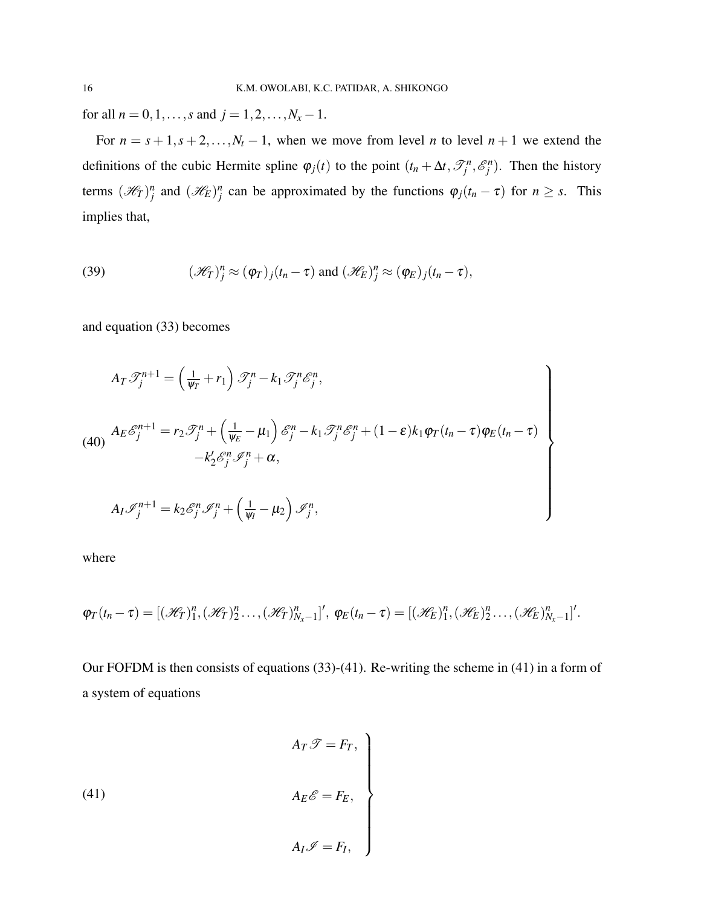for all  $n = 0, 1, ..., s$  and  $j = 1, 2, ..., N<sub>x</sub> - 1$ .

For  $n = s + 1, s + 2, \ldots, N_t - 1$ , when we move from level *n* to level  $n + 1$  we extend the definitions of the cubic Hermite spline  $\varphi_j(t)$  to the point  $(t_n + \Delta t, \mathcal{T}_j^n, \mathcal{E}_j^n)$ . Then the history terms  $(\mathcal{H}_T)^n_j$  and  $(\mathcal{H}_E)^n_j$  can be approximated by the functions  $\varphi_j(t_n - \tau)$  for  $n \geq s$ . This implies that,

(39) 
$$
(\mathscr{H}_T)^n_j \approx (\varphi_T)_j (t_n - \tau) \text{ and } (\mathscr{H}_E)^n_j \approx (\varphi_E)_j (t_n - \tau),
$$

and equation (33) becomes

$$
A_T \mathcal{T}_j^{n+1} = \left(\frac{1}{\psi_T} + r_1\right) \mathcal{T}_j^n - k_1 \mathcal{T}_j^n \mathcal{E}_j^n,
$$
  
\n
$$
(40) \quad A_E \mathcal{E}_j^{n+1} = r_2 \mathcal{T}_j^n + \left(\frac{1}{\psi_E} - \mu_1\right) \mathcal{E}_j^n - k_1 \mathcal{T}_j^n \mathcal{E}_j^n + (1 - \varepsilon) k_1 \varphi_T (t_n - \tau) \varphi_E (t_n - \tau)
$$
  
\n
$$
- k_2' \mathcal{E}_j^n \mathcal{I}_j^n + \alpha,
$$
  
\n
$$
A_I \mathcal{I}_j^{n+1} = k_2 \mathcal{E}_j^n \mathcal{I}_j^n + \left(\frac{1}{\psi_I} - \mu_2\right) \mathcal{I}_j^n,
$$

where

$$
\varphi_T(t_n-\tau)=[(\mathscr{H}_T)^n_1,(\mathscr{H}_T)^n_2\ldots,(\mathscr{H}_T)^n_{N_x-1}]',\ \varphi_E(t_n-\tau)=[(\mathscr{H}_E)^n_1,(\mathscr{H}_E)^n_2\ldots,(\mathscr{H}_E)^n_{N_x-1}]'.
$$

Our FOFDM is then consists of equations (33)-(41). Re-writing the scheme in (41) in a form of a system of equations

(41)  
\n
$$
A_T \mathscr{T} = F_T,
$$
\n
$$
A_E \mathscr{E} = F_E,
$$
\n
$$
A_I \mathscr{I} = F_I,
$$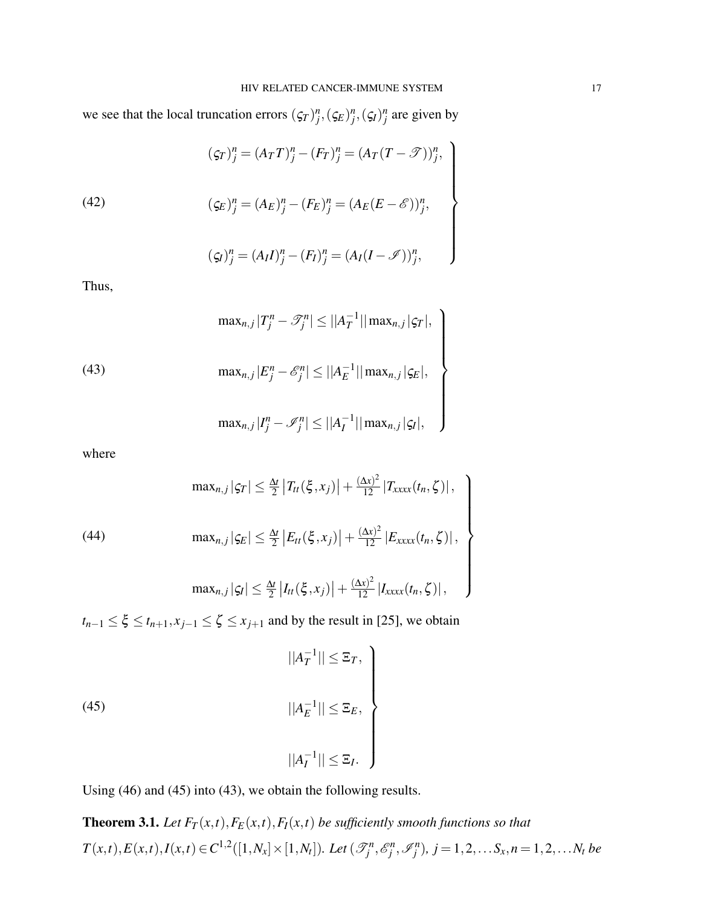we see that the local truncation errors  $(\zeta_T)^n_j$ ,  $(\zeta_E)^n_j$ ,  $(\zeta_f)^n_j$  are given by

(42)  
\n
$$
(\varsigma_T)^n_j = (A_T T)^n_j - (F_T)^n_j = (A_T (T - \mathcal{T}))^n_j,
$$
\n
$$
(\varsigma_E)^n_j = (A_E)^n_j - (F_E)^n_j = (A_E (E - \mathcal{E}))^n_j,
$$
\n
$$
(\varsigma_I)^n_j = (A_I I)^n_j - (F_I)^n_j = (A_I (I - \mathcal{I}))^n_j,
$$

$$
(\zeta_I)^n_j = (A_I I)^n_j - (F_I)^n_j = (A_I (I - \mathscr{I}))^n_j,
$$

Thus,

(43)  
\n
$$
\max_{n,j} |T_j^n - \mathcal{T}_j^n| \leq ||A_T^{-1}|| \max_{n,j} |\varsigma_T|,
$$
\n
$$
\max_{n,j} |E_j^n - \mathcal{E}_j^n| \leq ||A_E^{-1}|| \max_{n,j} |\varsigma_E|,
$$
\n
$$
\max_{n,j} |I_j^n - \mathcal{I}_j^n| \leq ||A_I^{-1}|| \max_{n,j} |\varsigma_I|,
$$

where

$$
\max_{n,j} |g_T| \leq \frac{\Delta t}{2} |T_{tt}(\xi, x_j)| + \frac{(\Delta x)^2}{12} |T_{xxxx}(t_n, \zeta)|,
$$
\n
$$
\max_{n,j} |g_E| \leq \frac{\Delta t}{2} |E_{tt}(\xi, x_j)| + \frac{(\Delta x)^2}{12} |E_{xxxx}(t_n, \zeta)|,
$$
\n
$$
\max_{n,j} |g_I| \leq \frac{\Delta t}{2} |I_{tt}(\xi, x_j)| + \frac{(\Delta x)^2}{12} |I_{xxxx}(t_n, \zeta)|,
$$

 $t_{n-1} \leq \xi \leq t_{n+1}, x_{j-1} \leq \zeta \leq x_{j+1}$  and by the result in [25], we obtain

(45) 
$$
||A_T^{-1}|| \leq \Xi_T,
$$

$$
||A_E^{-1}|| \leq \Xi_E,
$$

$$
||A_I^{-1}|| \leq \Xi_I.
$$

Using (46) and (45) into (43), we obtain the following results.

**Theorem 3.1.** *Let*  $F_T(x,t)$ ,  $F_F(x,t)$ ,  $F_I(x,t)$  *be sufficiently smooth functions so that*  $T(x,t), E(x,t), I(x,t) \in C^{1,2}([1,N_x] \times [1,N_t]).$  Let  $(\mathcal{T}_j^n, \mathcal{E}_j^n, \mathcal{I}_j^n), j = 1,2,...S_x, n = 1,2,...N_t$  be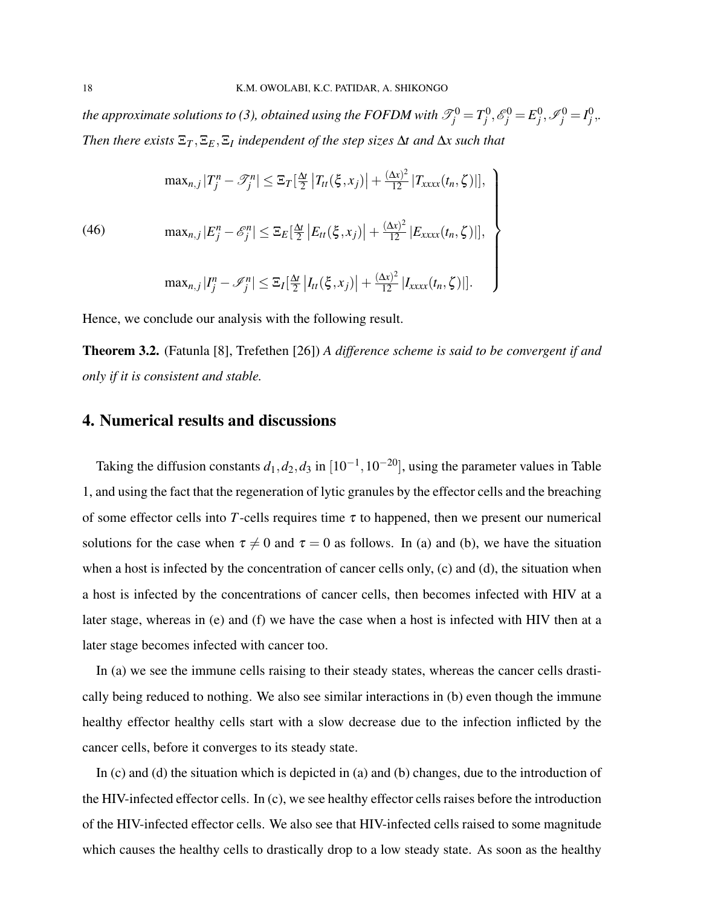the approximate solutions to (3), obtained using the FOFDM with  $\mathscr{T}^0_j = T^0_j$ ,  $\mathscr{E}^0_j = E^0_j$ ,  $\mathscr{I}^0_j = I^0_j$ ,. *Then there exists*  $\Xi_T$ ,  $\Xi_E$ ,  $\Xi_I$  *independent of the step sizes*  $\Delta t$  *and*  $\Delta x$  *such that* 

$$
\max_{n,j} |T_j^n - \mathcal{T}_j^n| \leq \mathbb{E}_T[\frac{\Delta t}{2} |T_{tt}(\xi, x_j)| + \frac{(\Delta x)^2}{12} |T_{xxxx}(t_n, \zeta)|],
$$
\n
$$
\max_{n,j} |E_j^n - \mathcal{E}_j^n| \leq \mathbb{E}_E[\frac{\Delta t}{2} |E_{tt}(\xi, x_j)| + \frac{(\Delta x)^2}{12} |E_{xxxx}(t_n, \zeta)|],
$$
\n
$$
\max_{n,j} |T_j^n - \mathcal{I}_j^n| \leq \mathbb{E}_I[\frac{\Delta t}{2} |I_{tt}(\xi, x_j)| + \frac{(\Delta x)^2}{12} |I_{xxxx}(t_n, \zeta)|].
$$

Hence, we conclude our analysis with the following result.

Theorem 3.2. (Fatunla [8], Trefethen [26]) *A difference scheme is said to be convergent if and only if it is consistent and stable.*

## 4. Numerical results and discussions

Taking the diffusion constants  $d_1, d_2, d_3$  in  $[10^{-1}, 10^{-20}]$ , using the parameter values in Table 1, and using the fact that the regeneration of lytic granules by the effector cells and the breaching of some effector cells into *T*-cells requires time  $\tau$  to happened, then we present our numerical solutions for the case when  $\tau \neq 0$  and  $\tau = 0$  as follows. In (a) and (b), we have the situation when a host is infected by the concentration of cancer cells only, (c) and (d), the situation when a host is infected by the concentrations of cancer cells, then becomes infected with HIV at a later stage, whereas in (e) and (f) we have the case when a host is infected with HIV then at a later stage becomes infected with cancer too.

In (a) we see the immune cells raising to their steady states, whereas the cancer cells drastically being reduced to nothing. We also see similar interactions in (b) even though the immune healthy effector healthy cells start with a slow decrease due to the infection inflicted by the cancer cells, before it converges to its steady state.

In (c) and (d) the situation which is depicted in (a) and (b) changes, due to the introduction of the HIV-infected effector cells. In (c), we see healthy effector cells raises before the introduction of the HIV-infected effector cells. We also see that HIV-infected cells raised to some magnitude which causes the healthy cells to drastically drop to a low steady state. As soon as the healthy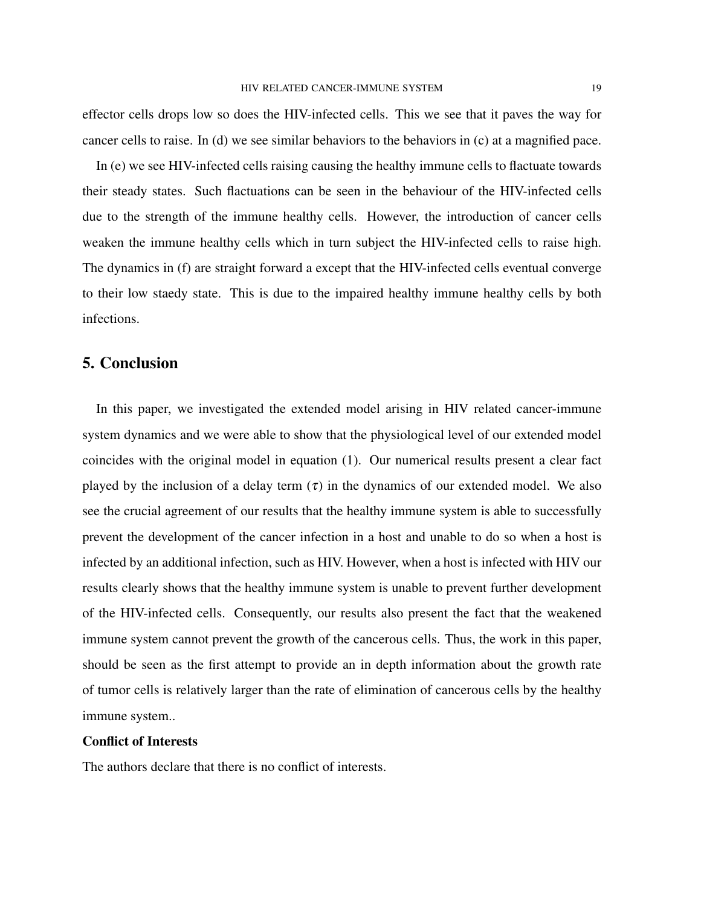effector cells drops low so does the HIV-infected cells. This we see that it paves the way for cancer cells to raise. In (d) we see similar behaviors to the behaviors in (c) at a magnified pace.

In (e) we see HIV-infected cells raising causing the healthy immune cells to flactuate towards their steady states. Such flactuations can be seen in the behaviour of the HIV-infected cells due to the strength of the immune healthy cells. However, the introduction of cancer cells weaken the immune healthy cells which in turn subject the HIV-infected cells to raise high. The dynamics in (f) are straight forward a except that the HIV-infected cells eventual converge to their low staedy state. This is due to the impaired healthy immune healthy cells by both infections.

## 5. Conclusion

In this paper, we investigated the extended model arising in HIV related cancer-immune system dynamics and we were able to show that the physiological level of our extended model coincides with the original model in equation (1). Our numerical results present a clear fact played by the inclusion of a delay term  $(\tau)$  in the dynamics of our extended model. We also see the crucial agreement of our results that the healthy immune system is able to successfully prevent the development of the cancer infection in a host and unable to do so when a host is infected by an additional infection, such as HIV. However, when a host is infected with HIV our results clearly shows that the healthy immune system is unable to prevent further development of the HIV-infected cells. Consequently, our results also present the fact that the weakened immune system cannot prevent the growth of the cancerous cells. Thus, the work in this paper, should be seen as the first attempt to provide an in depth information about the growth rate of tumor cells is relatively larger than the rate of elimination of cancerous cells by the healthy immune system..

### Conflict of Interests

The authors declare that there is no conflict of interests.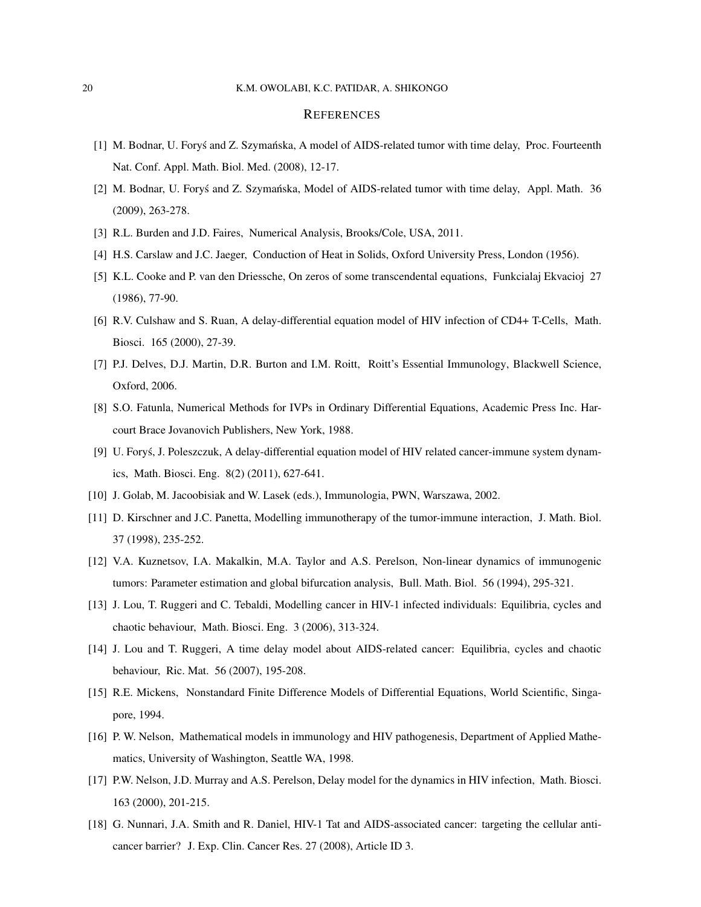#### 20 K.M. OWOLABI, K.C. PATIDAR, A. SHIKONGO

#### **REFERENCES**

- [1] M. Bodnar, U. Forys and Z. Szymańska, A model of AIDS-related tumor with time delay, Proc. Fourteenth Nat. Conf. Appl. Math. Biol. Med. (2008), 12-17.
- [2] M. Bodnar, U. Forys and Z. Szymańska, Model of AIDS-related tumor with time delay, Appl. Math. 36 (2009), 263-278.
- [3] R.L. Burden and J.D. Faires, Numerical Analysis, Brooks/Cole, USA, 2011.
- [4] H.S. Carslaw and J.C. Jaeger, Conduction of Heat in Solids, Oxford University Press, London (1956).
- [5] K.L. Cooke and P. van den Driessche, On zeros of some transcendental equations, Funkcialaj Ekvacioj 27 (1986), 77-90.
- [6] R.V. Culshaw and S. Ruan, A delay-differential equation model of HIV infection of CD4+ T-Cells, Math. Biosci. 165 (2000), 27-39.
- [7] P.J. Delves, D.J. Martin, D.R. Burton and I.M. Roitt, Roitt's Essential Immunology, Blackwell Science, Oxford, 2006.
- [8] S.O. Fatunla, Numerical Methods for IVPs in Ordinary Differential Equations, Academic Press Inc. Harcourt Brace Jovanovich Publishers, New York, 1988.
- [9] U. Forys, J. Poleszczuk, A delay-differential equation model of HIV related cancer-immune system dynamics, Math. Biosci. Eng. 8(2) (2011), 627-641.
- [10] J. Golab, M. Jacoobisiak and W. Lasek (eds.), Immunologia, PWN, Warszawa, 2002.
- [11] D. Kirschner and J.C. Panetta, Modelling immunotherapy of the tumor-immune interaction, J. Math. Biol. 37 (1998), 235-252.
- [12] V.A. Kuznetsov, I.A. Makalkin, M.A. Taylor and A.S. Perelson, Non-linear dynamics of immunogenic tumors: Parameter estimation and global bifurcation analysis, Bull. Math. Biol. 56 (1994), 295-321.
- [13] J. Lou, T. Ruggeri and C. Tebaldi, Modelling cancer in HIV-1 infected individuals: Equilibria, cycles and chaotic behaviour, Math. Biosci. Eng. 3 (2006), 313-324.
- [14] J. Lou and T. Ruggeri, A time delay model about AIDS-related cancer: Equilibria, cycles and chaotic behaviour, Ric. Mat. 56 (2007), 195-208.
- [15] R.E. Mickens, Nonstandard Finite Difference Models of Differential Equations, World Scientific, Singapore, 1994.
- [16] P. W. Nelson, Mathematical models in immunology and HIV pathogenesis, Department of Applied Mathematics, University of Washington, Seattle WA, 1998.
- [17] P.W. Nelson, J.D. Murray and A.S. Perelson, Delay model for the dynamics in HIV infection, Math. Biosci. 163 (2000), 201-215.
- [18] G. Nunnari, J.A. Smith and R. Daniel, HIV-1 Tat and AIDS-associated cancer: targeting the cellular anticancer barrier? J. Exp. Clin. Cancer Res. 27 (2008), Article ID 3.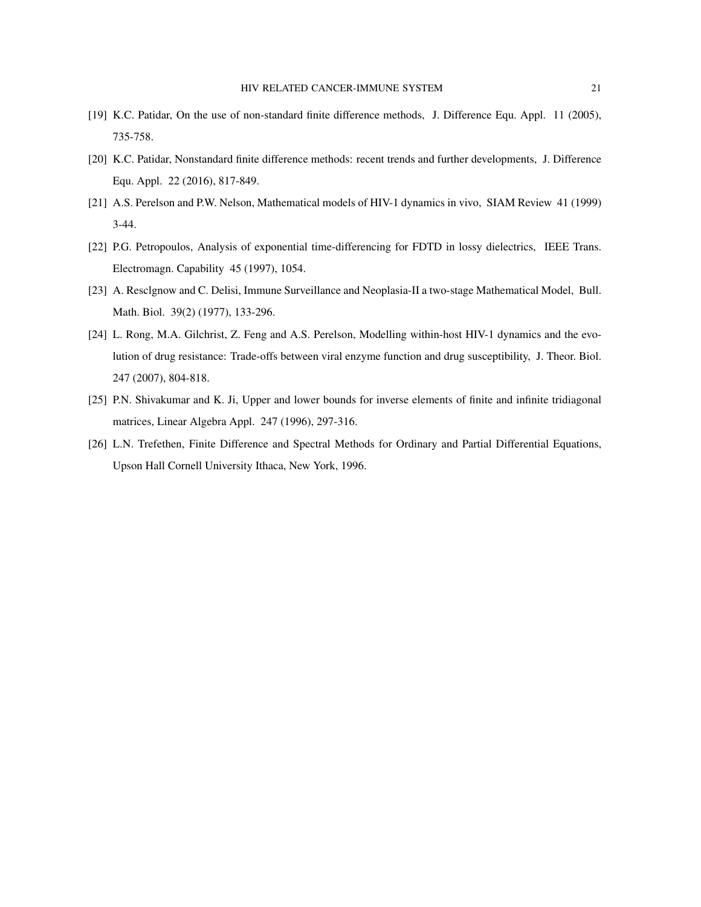- [19] K.C. Patidar, On the use of non-standard finite difference methods, J. Difference Equ. Appl. 11 (2005), 735-758.
- [20] K.C. Patidar, Nonstandard finite difference methods: recent trends and further developments, J. Difference Equ. Appl. 22 (2016), 817-849.
- [21] A.S. Perelson and P.W. Nelson, Mathematical models of HIV-1 dynamics in vivo, SIAM Review 41 (1999) 3-44.
- [22] P.G. Petropoulos, Analysis of exponential time-differencing for FDTD in lossy dielectrics, IEEE Trans. Electromagn. Capability 45 (1997), 1054.
- [23] A. Resclgnow and C. Delisi, Immune Surveillance and Neoplasia-II a two-stage Mathematical Model, Bull. Math. Biol. 39(2) (1977), 133-296.
- [24] L. Rong, M.A. Gilchrist, Z. Feng and A.S. Perelson, Modelling within-host HIV-1 dynamics and the evolution of drug resistance: Trade-offs between viral enzyme function and drug susceptibility, J. Theor. Biol. 247 (2007), 804-818.
- [25] P.N. Shivakumar and K. Ji, Upper and lower bounds for inverse elements of finite and infinite tridiagonal matrices, Linear Algebra Appl. 247 (1996), 297-316.
- [26] L.N. Trefethen, Finite Difference and Spectral Methods for Ordinary and Partial Differential Equations, Upson Hall Cornell University Ithaca, New York, 1996.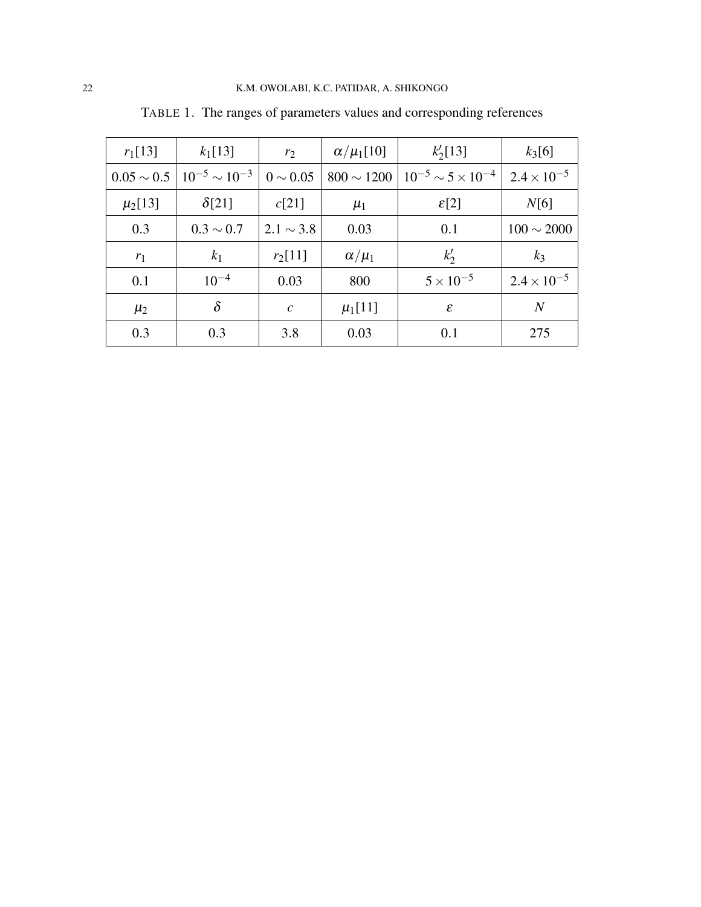| $r_1[13]$       | $k_1[13]$              | $r_2$          | $\alpha/\mu_1[10]$ | $k'_2[13]$                      | $k_3[6]$             |
|-----------------|------------------------|----------------|--------------------|---------------------------------|----------------------|
| $0.05 \sim 0.5$ | $10^{-5} \sim 10^{-3}$ | $0 \sim 0.05$  | $800 \sim 1200$    | $10^{-5} \sim 5 \times 10^{-4}$ | $2.4 \times 10^{-5}$ |
| $\mu_2[13]$     | $\delta$ [21]          | c[21]          | $\mu_1$            | $\mathcal{E}[2]$                | N[6]                 |
| 0.3             | $0.3 \sim 0.7$         | $2.1 \sim 3.8$ | 0.03               | 0.1                             | $100 \sim 2000$      |
| $r_1$           | k <sub>1</sub>         | $r_2[11]$      | $\alpha/\mu_1$     | $k'_2$                          | $k_3$                |
| 0.1             | $10^{-4}$              | 0.03           | 800                | $5 \times 10^{-5}$              | $2.4 \times 10^{-5}$ |
| $\mu_2$         | $\delta$               | $\mathcal{C}$  | $\mu_1[11]$        | $\varepsilon$                   | $\overline{N}$       |
| 0.3             | 0.3                    | 3.8            | 0.03               | 0.1                             | 275                  |

TABLE 1. The ranges of parameters values and corresponding references